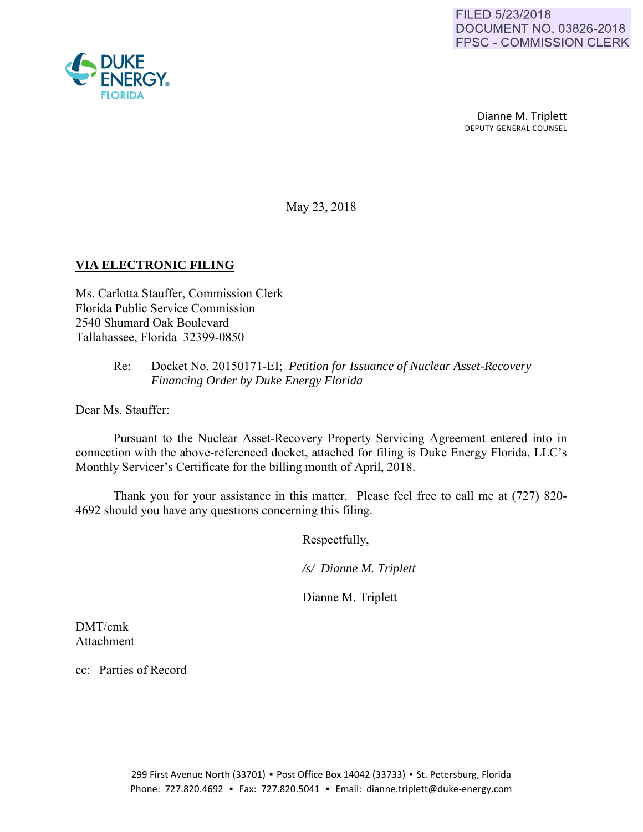Dianne M. Triplett DEPUTY GENERAL COUNSEL

May 23, 2018

### **VIA ELECTRONIC FILING**

Ms. Carlotta Stauffer, Commission Clerk Florida Public Service Commission 2540 Shumard Oak Boulevard Tallahassee, Florida 32399-0850

#### Re: Docket No. 20150171-EI; *Petition for Issuance of Nuclear Asset-Recovery Financing Order by Duke Energy Florida*

Dear Ms. Stauffer:

Pursuant to the Nuclear Asset-Recovery Property Servicing Agreement entered into in connection with the above-referenced docket, attached for filing is Duke Energy Florida, LLC's Monthly Servicer's Certificate for the billing month of April, 2018.

Thank you for your assistance in this matter. Please feel free to call me at (727) 820- 4692 should you have any questions concerning this filing.

Respectfully,

 */s/ Dianne M. Triplett* 

Dianne M. Triplett

DMT/cmk Attachment

cc: Parties of Record

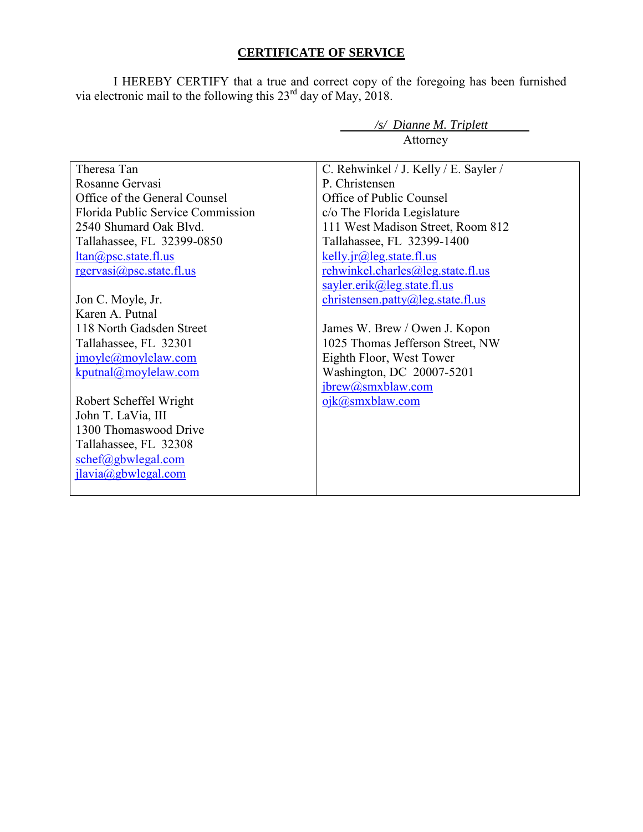# **CERTIFICATE OF SERVICE**

I HEREBY CERTIFY that a true and correct copy of the foregoing has been furnished via electronic mail to the following this  $23<sup>rd</sup>$  day of May, 2018.

*/s/ Dianne M. Triplett* 

| Attorney                                                                                                                                                                                                              |                                                                                                                                                                                                                                                                                                 |
|-----------------------------------------------------------------------------------------------------------------------------------------------------------------------------------------------------------------------|-------------------------------------------------------------------------------------------------------------------------------------------------------------------------------------------------------------------------------------------------------------------------------------------------|
| Theresa Tan<br>Rosanne Gervasi<br>Office of the General Counsel<br>Florida Public Service Commission<br>2540 Shumard Oak Blvd.<br>Tallahassee, FL 32399-0850<br>$ltan(a)$ psc.state.fl.us<br>rgervasi@psc.state.fl.us | C. Rehwinkel / J. Kelly / E. Sayler /<br>P. Christensen<br>Office of Public Counsel<br>c/o The Florida Legislature<br>111 West Madison Street, Room 812<br>Tallahassee, FL 32399-1400<br>$kelly$ . $ir@$ leg. state. fl. us<br>rehwinkel.charles@leg.state.fl.us<br>sayler.erik@leg.state.fl.us |
| Jon C. Moyle, Jr.                                                                                                                                                                                                     | christensen.patty@leg.state.fl.us                                                                                                                                                                                                                                                               |
| Karen A. Putnal<br>118 North Gadsden Street                                                                                                                                                                           |                                                                                                                                                                                                                                                                                                 |
| Tallahassee, FL 32301                                                                                                                                                                                                 | James W. Brew / Owen J. Kopon<br>1025 Thomas Jefferson Street, NW                                                                                                                                                                                                                               |
| $\text{imoyle}(\partial \text{movlelaw.com})$                                                                                                                                                                         | Eighth Floor, West Tower                                                                                                                                                                                                                                                                        |
| kputnal@movlelaw.com                                                                                                                                                                                                  | Washington, DC 20007-5201                                                                                                                                                                                                                                                                       |
|                                                                                                                                                                                                                       | jbrew@smxblaw.com                                                                                                                                                                                                                                                                               |
| Robert Scheffel Wright                                                                                                                                                                                                | ojk@smxblaw.com                                                                                                                                                                                                                                                                                 |
| John T. LaVia, III                                                                                                                                                                                                    |                                                                                                                                                                                                                                                                                                 |
| 1300 Thomaswood Drive                                                                                                                                                                                                 |                                                                                                                                                                                                                                                                                                 |
| Tallahassee, FL 32308                                                                                                                                                                                                 |                                                                                                                                                                                                                                                                                                 |
| schef@gbwlegal.com                                                                                                                                                                                                    |                                                                                                                                                                                                                                                                                                 |
| jlavia@gbwlegal.com                                                                                                                                                                                                   |                                                                                                                                                                                                                                                                                                 |
|                                                                                                                                                                                                                       |                                                                                                                                                                                                                                                                                                 |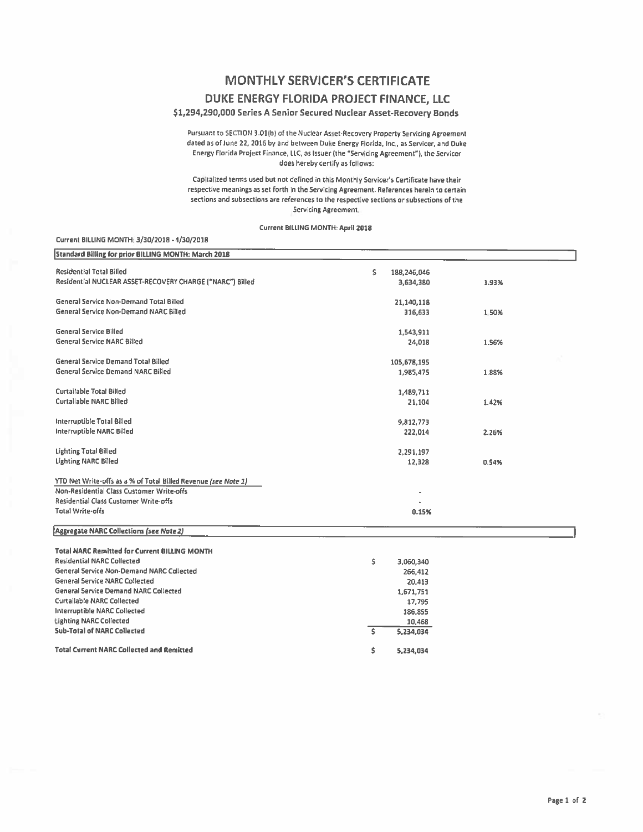## **MONTHLY SERVICER'S CERTIFICATE** DUKE ENERGY FLORIDA PROJECT FINANCE, LLC

#### \$1,294,290,000 Series A Senior Secured Nuclear Asset-Recovery Bonds

Pursuant to SECTION 3.01(b) of the Nuclear Asset-Recovery Property Servicing Agreement dated as of June 22, 2016 by and between Duke Energy Florida, Inc., as Servicer, and Duke Energy Florida Project Finance, LLC, as Issuer (the "Servicing Agreement"), the Servicer does hereby certify as follows:

Capitalized terms used but not defined in this Monthly Servicer's Certificate have their respective meanings as set forth in the Servicing Agreement. References herein to certain sections and subsections are references to the respective sections or subsections of the Servicing Agreement.

#### Current BILLING MONTH: April 2018

| <b>Standard Billing for prior BILLING MONTH: March 2018</b>    |                   |       |
|----------------------------------------------------------------|-------------------|-------|
| <b>Residential Total Billed</b>                                | Ś.<br>188,246,046 |       |
| Residential NUCLEAR ASSET-RECOVERY CHARGE ("NARC") Billed      | 3,634,380         | 1.93% |
|                                                                |                   |       |
| General Service Non-Demand Total Billed                        | 21,140,118        |       |
| <b>General Service Non-Demand NARC Billed</b>                  | 316,633           | 1.50% |
|                                                                |                   |       |
| <b>General Service Billed</b>                                  | 1,543,911         |       |
| <b>General Service NARC Billed</b>                             | 24,018            | 1.56% |
|                                                                |                   |       |
| <b>General Service Demand Total Billed</b>                     | 105,678,195       |       |
| <b>General Service Demand NARC Billed</b>                      | 1,985,475         | 1.88% |
|                                                                |                   |       |
| <b>Curtailable Total Billed</b>                                | 1,489,711         |       |
| <b>Curtailable NARC Billed</b>                                 | 21,104            | 1.42% |
|                                                                |                   |       |
| Interruptible Total Billed                                     | 9,812,773         |       |
| <b>Interruptible NARC Billed</b>                               | 222.014           | 2.26% |
|                                                                |                   |       |
| <b>Lighting Total Billed</b>                                   | 2,291,197         |       |
| <b>Lighting NARC Billed</b>                                    | 12,328            | 0.54% |
|                                                                |                   |       |
| YTD Net Write-offs as a % of Total Billed Revenue (see Note 1) |                   |       |
| Non-Residential Class Customer Write-offs                      |                   |       |
| Residential Class Customer Write-offs                          |                   |       |
| <b>Total Write-offs</b>                                        | 0.15%             |       |
| <b>Aggregate NARC Collections (see Note 2)</b>                 |                   |       |
|                                                                |                   |       |
| <b>Total NARC Remitted for Current BILLING MONTH</b>           |                   |       |
| <b>Residential NARC Collected</b>                              | \$<br>3,060,340   |       |
| General Service Non-Demand NARC Collected                      | 266,412           |       |
| <b>General Service NARC Collected</b>                          | 20,413            |       |
| General Service Demand NARC Collected                          | 1,671,751         |       |
| <b>Curtailable NARC Collected</b>                              | 17,795            |       |
| <b>Interruptible NARC Collected</b>                            | 186.855           |       |

10,468

5,234,034

5,234,034

 $\mathsf S$ 

\$

**Total Current NARC Collected and Remitted** 

**Lighting NARC Collected** 

**Sub-Total of NARC Collected** 

Current BILLING MONTH 3/30/2018 - 4/30/2018